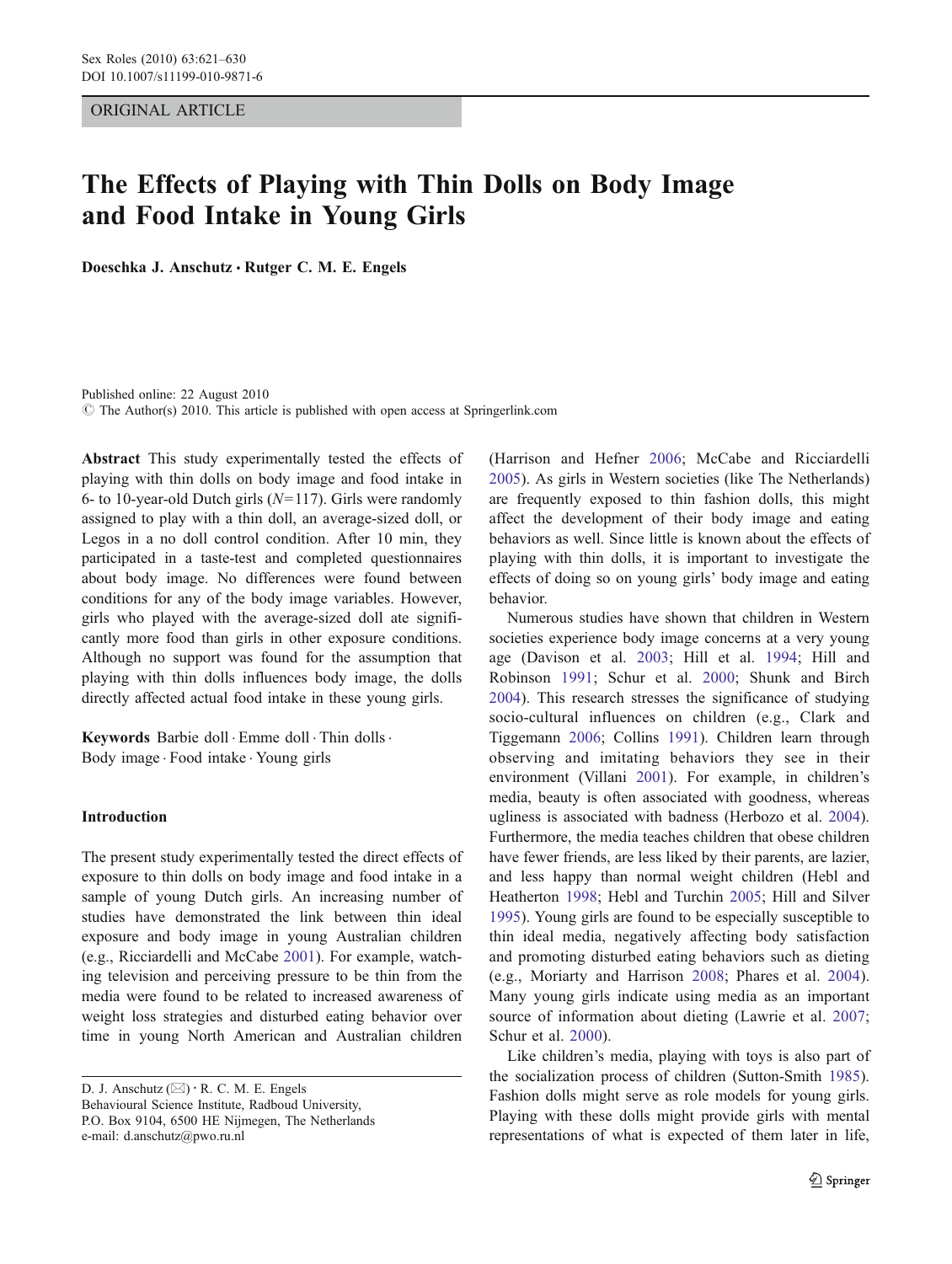## ORIGINAL ARTICLE

# The Effects of Playing with Thin Dolls on Body Image and Food Intake in Young Girls

Doeschka J. Anschutz · Rutger C. M. E. Engels

Published online: 22 August 2010 © The Author(s) 2010. This article is published with open access at Springerlink.com

Abstract This study experimentally tested the effects of playing with thin dolls on body image and food intake in 6- to 10-year-old Dutch girls  $(N=117)$ . Girls were randomly assigned to play with a thin doll, an average-sized doll, or Legos in a no doll control condition. After 10 min, they participated in a taste-test and completed questionnaires about body image. No differences were found between conditions for any of the body image variables. However, girls who played with the average-sized doll ate significantly more food than girls in other exposure conditions. Although no support was found for the assumption that playing with thin dolls influences body image, the dolls directly affected actual food intake in these young girls.

Keywords Barbie doll . Emme doll . Thin dolls. Body image . Food intake . Young girls

## Introduction

The present study experimentally tested the direct effects of exposure to thin dolls on body image and food intake in a sample of young Dutch girls. An increasing number of studies have demonstrated the link between thin ideal exposure and body image in young Australian children (e.g., Ricciardelli and McCabe [2001](#page-9-0)). For example, watching television and perceiving pressure to be thin from the media were found to be related to increased awareness of weight loss strategies and disturbed eating behavior over time in young North American and Australian children

D. J. Anschutz  $(\boxtimes) \cdot R$ . C. M. E. Engels Behavioural Science Institute, Radboud University, P.O. Box 9104, 6500 HE Nijmegen, The Netherlands e-mail: d.anschutz@pwo.ru.nl

(Harrison and Hefner [2006;](#page-8-0) McCabe and Ricciardelli [2005](#page-9-0)). As girls in Western societies (like The Netherlands) are frequently exposed to thin fashion dolls, this might affect the development of their body image and eating behaviors as well. Since little is known about the effects of playing with thin dolls, it is important to investigate the effects of doing so on young girls' body image and eating behavior.

Numerous studies have shown that children in Western societies experience body image concerns at a very young age (Davison et al. [2003;](#page-8-0) Hill et al. [1994](#page-9-0); Hill and Robinson [1991](#page-9-0); Schur et al. [2000;](#page-9-0) Shunk and Birch [2004](#page-9-0)). This research stresses the significance of studying socio-cultural influences on children (e.g., Clark and Tiggemann [2006](#page-8-0); Collins [1991\)](#page-8-0). Children learn through observing and imitating behaviors they see in their environment (Villani [2001](#page-9-0)). For example, in children's media, beauty is often associated with goodness, whereas ugliness is associated with badness (Herbozo et al. [2004\)](#page-9-0). Furthermore, the media teaches children that obese children have fewer friends, are less liked by their parents, are lazier, and less happy than normal weight children (Hebl and Heatherton [1998;](#page-9-0) Hebl and Turchin [2005;](#page-9-0) Hill and Silver [1995](#page-9-0)). Young girls are found to be especially susceptible to thin ideal media, negatively affecting body satisfaction and promoting disturbed eating behaviors such as dieting (e.g., Moriarty and Harrison [2008](#page-9-0); Phares et al. [2004](#page-9-0)). Many young girls indicate using media as an important source of information about dieting (Lawrie et al. [2007;](#page-9-0) Schur et al. [2000\)](#page-9-0).

Like children's media, playing with toys is also part of the socialization process of children (Sutton-Smith [1985\)](#page-9-0). Fashion dolls might serve as role models for young girls. Playing with these dolls might provide girls with mental representations of what is expected of them later in life,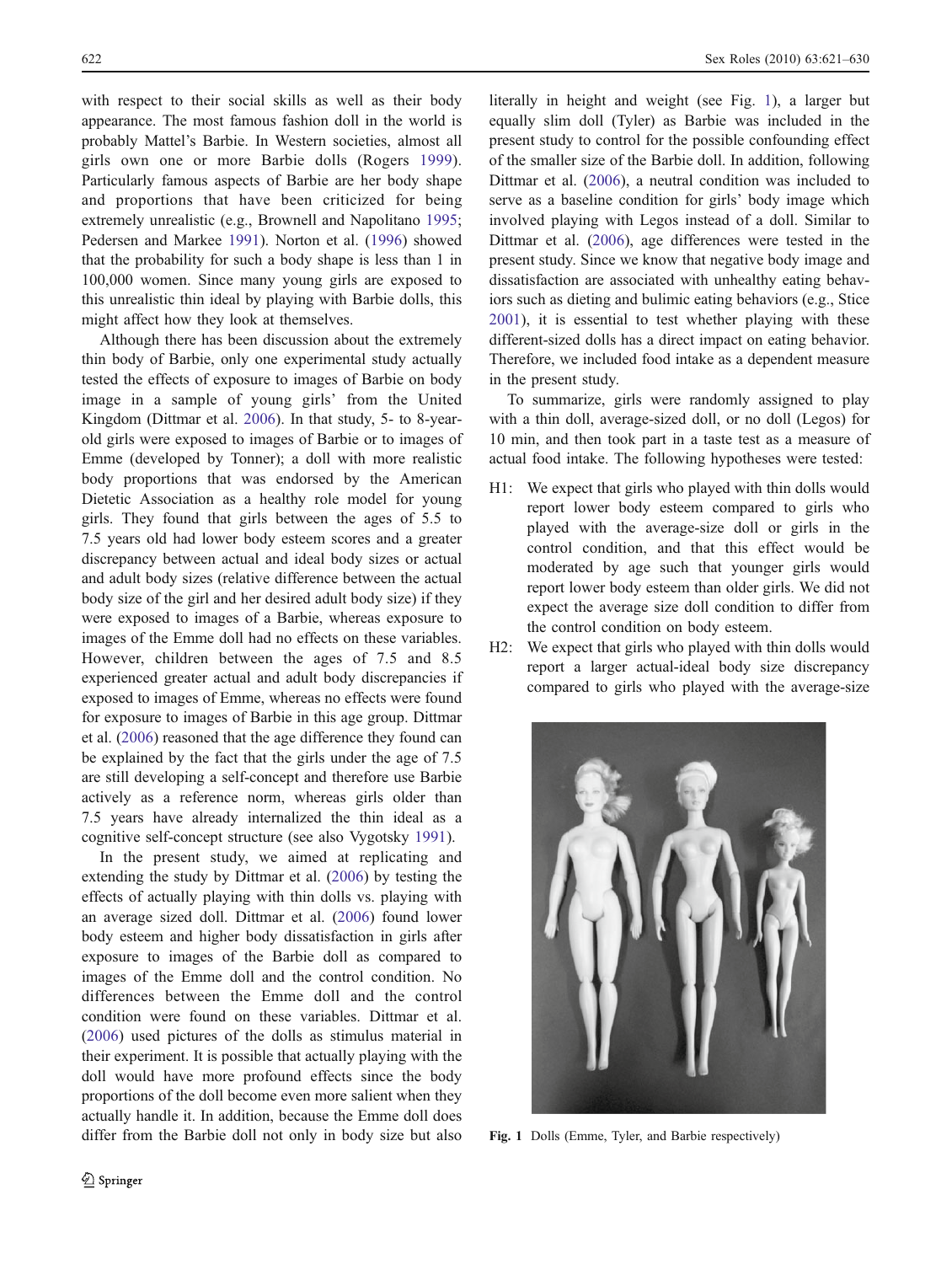<span id="page-1-0"></span>with respect to their social skills as well as their body appearance. The most famous fashion doll in the world is probably Mattel's Barbie. In Western societies, almost all girls own one or more Barbie dolls (Rogers [1999](#page-9-0)). Particularly famous aspects of Barbie are her body shape and proportions that have been criticized for being extremely unrealistic (e.g., Brownell and Napolitano [1995](#page-8-0); Pedersen and Markee [1991\)](#page-9-0). Norton et al. ([1996\)](#page-9-0) showed that the probability for such a body shape is less than 1 in 100,000 women. Since many young girls are exposed to this unrealistic thin ideal by playing with Barbie dolls, this might affect how they look at themselves.

Although there has been discussion about the extremely thin body of Barbie, only one experimental study actually tested the effects of exposure to images of Barbie on body image in a sample of young girls' from the United Kingdom (Dittmar et al. [2006\)](#page-8-0). In that study, 5- to 8-yearold girls were exposed to images of Barbie or to images of Emme (developed by Tonner); a doll with more realistic body proportions that was endorsed by the American Dietetic Association as a healthy role model for young girls. They found that girls between the ages of 5.5 to 7.5 years old had lower body esteem scores and a greater discrepancy between actual and ideal body sizes or actual and adult body sizes (relative difference between the actual body size of the girl and her desired adult body size) if they were exposed to images of a Barbie, whereas exposure to images of the Emme doll had no effects on these variables. However, children between the ages of 7.5 and 8.5 experienced greater actual and adult body discrepancies if exposed to images of Emme, whereas no effects were found for exposure to images of Barbie in this age group. Dittmar et al. [\(2006\)](#page-8-0) reasoned that the age difference they found can be explained by the fact that the girls under the age of 7.5 are still developing a self-concept and therefore use Barbie actively as a reference norm, whereas girls older than 7.5 years have already internalized the thin ideal as a cognitive self-concept structure (see also Vygotsky [1991](#page-9-0)).

In the present study, we aimed at replicating and extending the study by Dittmar et al. ([2006\)](#page-8-0) by testing the effects of actually playing with thin dolls vs. playing with an average sized doll. Dittmar et al. [\(2006](#page-8-0)) found lower body esteem and higher body dissatisfaction in girls after exposure to images of the Barbie doll as compared to images of the Emme doll and the control condition. No differences between the Emme doll and the control condition were found on these variables. Dittmar et al. [\(2006](#page-8-0)) used pictures of the dolls as stimulus material in their experiment. It is possible that actually playing with the doll would have more profound effects since the body proportions of the doll become even more salient when they actually handle it. In addition, because the Emme doll does differ from the Barbie doll not only in body size but also

literally in height and weight (see Fig. 1), a larger but equally slim doll (Tyler) as Barbie was included in the present study to control for the possible confounding effect of the smaller size of the Barbie doll. In addition, following Dittmar et al. [\(2006](#page-8-0)), a neutral condition was included to serve as a baseline condition for girls' body image which involved playing with Legos instead of a doll. Similar to Dittmar et al. ([2006\)](#page-8-0), age differences were tested in the present study. Since we know that negative body image and dissatisfaction are associated with unhealthy eating behaviors such as dieting and bulimic eating behaviors (e.g., Stice [2001](#page-9-0)), it is essential to test whether playing with these different-sized dolls has a direct impact on eating behavior. Therefore, we included food intake as a dependent measure in the present study.

To summarize, girls were randomly assigned to play with a thin doll, average-sized doll, or no doll (Legos) for 10 min, and then took part in a taste test as a measure of actual food intake. The following hypotheses were tested:

- H1: We expect that girls who played with thin dolls would report lower body esteem compared to girls who played with the average-size doll or girls in the control condition, and that this effect would be moderated by age such that younger girls would report lower body esteem than older girls. We did not expect the average size doll condition to differ from the control condition on body esteem.
- H2: We expect that girls who played with thin dolls would report a larger actual-ideal body size discrepancy compared to girls who played with the average-size



Fig. 1 Dolls (Emme, Tyler, and Barbie respectively)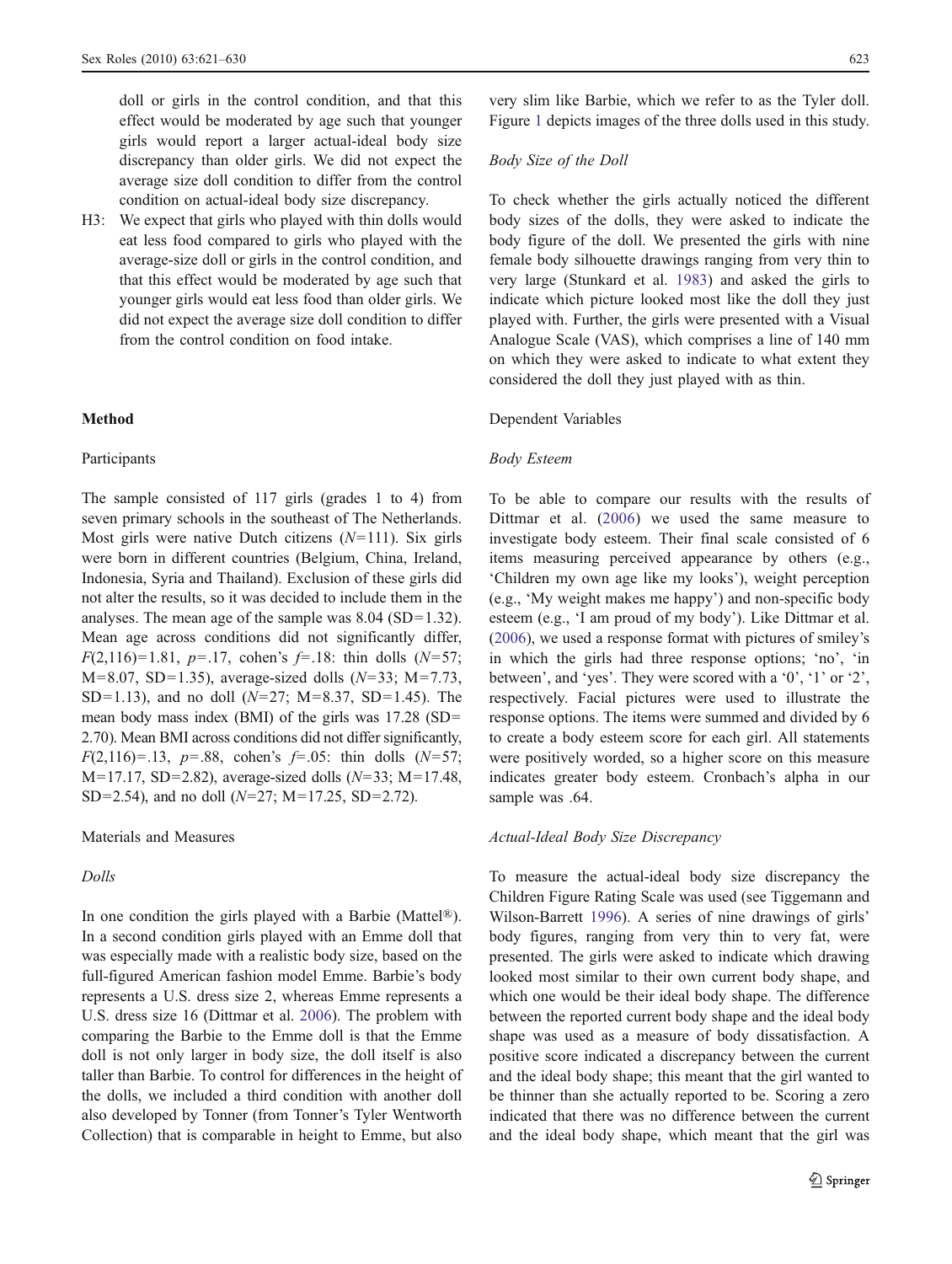doll or girls in the control condition, and that this effect would be moderated by age such that younger girls would report a larger actual-ideal body size discrepancy than older girls. We did not expect the average size doll condition to differ from the control condition on actual-ideal body size discrepancy.

H3: We expect that girls who played with thin dolls would eat less food compared to girls who played with the average-size doll or girls in the control condition, and that this effect would be moderated by age such that younger girls would eat less food than older girls. We did not expect the average size doll condition to differ from the control condition on food intake.

## Method

## Participants

The sample consisted of 117 girls (grades 1 to 4) from seven primary schools in the southeast of The Netherlands. Most girls were native Dutch citizens  $(N=111)$ . Six girls were born in different countries (Belgium, China, Ireland, Indonesia, Syria and Thailand). Exclusion of these girls did not alter the results, so it was decided to include them in the analyses. The mean age of the sample was 8.04 (SD=1.32). Mean age across conditions did not significantly differ,  $F(2,116)=1.81$ ,  $p=.17$ , cohen's  $f=.18$ : thin dolls (N=57;  $M=8.07$ , SD=1.35), average-sized dolls ( $N=33$ ; M=7.73, SD=1.13), and no doll ( $N=27$ ; M=8.37, SD=1.45). The mean body mass index (BMI) of the girls was 17.28 (SD= 2.70). Mean BMI across conditions did not differ significantly,  $F(2,116)=.13$ ,  $p=.88$ , cohen's  $f=.05$ : thin dolls  $(N=57;$  $M=17.17$ , SD=2.82), average-sized dolls ( $N=33$ ; M=17.48, SD=2.54), and no doll (N=27; M=17.25, SD=2.72).

#### Materials and Measures

## Dolls

In one condition the girls played with a Barbie (Mattel®). In a second condition girls played with an Emme doll that was especially made with a realistic body size, based on the full-figured American fashion model Emme. Barbie's body represents a U.S. dress size 2, whereas Emme represents a U.S. dress size 16 (Dittmar et al. [2006\)](#page-8-0). The problem with comparing the Barbie to the Emme doll is that the Emme doll is not only larger in body size, the doll itself is also taller than Barbie. To control for differences in the height of the dolls, we included a third condition with another doll also developed by Tonner (from Tonner's Tyler Wentworth Collection) that is comparable in height to Emme, but also very slim like Barbie, which we refer to as the Tyler doll. Figure [1](#page-1-0) depicts images of the three dolls used in this study.

#### Body Size of the Doll

To check whether the girls actually noticed the different body sizes of the dolls, they were asked to indicate the body figure of the doll. We presented the girls with nine female body silhouette drawings ranging from very thin to very large (Stunkard et al. [1983\)](#page-9-0) and asked the girls to indicate which picture looked most like the doll they just played with. Further, the girls were presented with a Visual Analogue Scale (VAS), which comprises a line of 140 mm on which they were asked to indicate to what extent they considered the doll they just played with as thin.

#### Dependent Variables

#### Body Esteem

To be able to compare our results with the results of Dittmar et al. [\(2006\)](#page-8-0) we used the same measure to investigate body esteem. Their final scale consisted of 6 items measuring perceived appearance by others (e.g., 'Children my own age like my looks'), weight perception (e.g., 'My weight makes me happy') and non-specific body esteem (e.g., 'I am proud of my body'). Like Dittmar et al. [\(2006](#page-8-0)), we used a response format with pictures of smiley's in which the girls had three response options; 'no', 'in between', and 'yes'. They were scored with a '0', '1' or '2', respectively. Facial pictures were used to illustrate the response options. The items were summed and divided by 6 to create a body esteem score for each girl. All statements were positively worded, so a higher score on this measure indicates greater body esteem. Cronbach's alpha in our sample was .64.

#### Actual-Ideal Body Size Discrepancy

To measure the actual-ideal body size discrepancy the Children Figure Rating Scale was used (see Tiggemann and Wilson-Barrett [1996](#page-9-0)). A series of nine drawings of girls' body figures, ranging from very thin to very fat, were presented. The girls were asked to indicate which drawing looked most similar to their own current body shape, and which one would be their ideal body shape. The difference between the reported current body shape and the ideal body shape was used as a measure of body dissatisfaction. A positive score indicated a discrepancy between the current and the ideal body shape; this meant that the girl wanted to be thinner than she actually reported to be. Scoring a zero indicated that there was no difference between the current and the ideal body shape, which meant that the girl was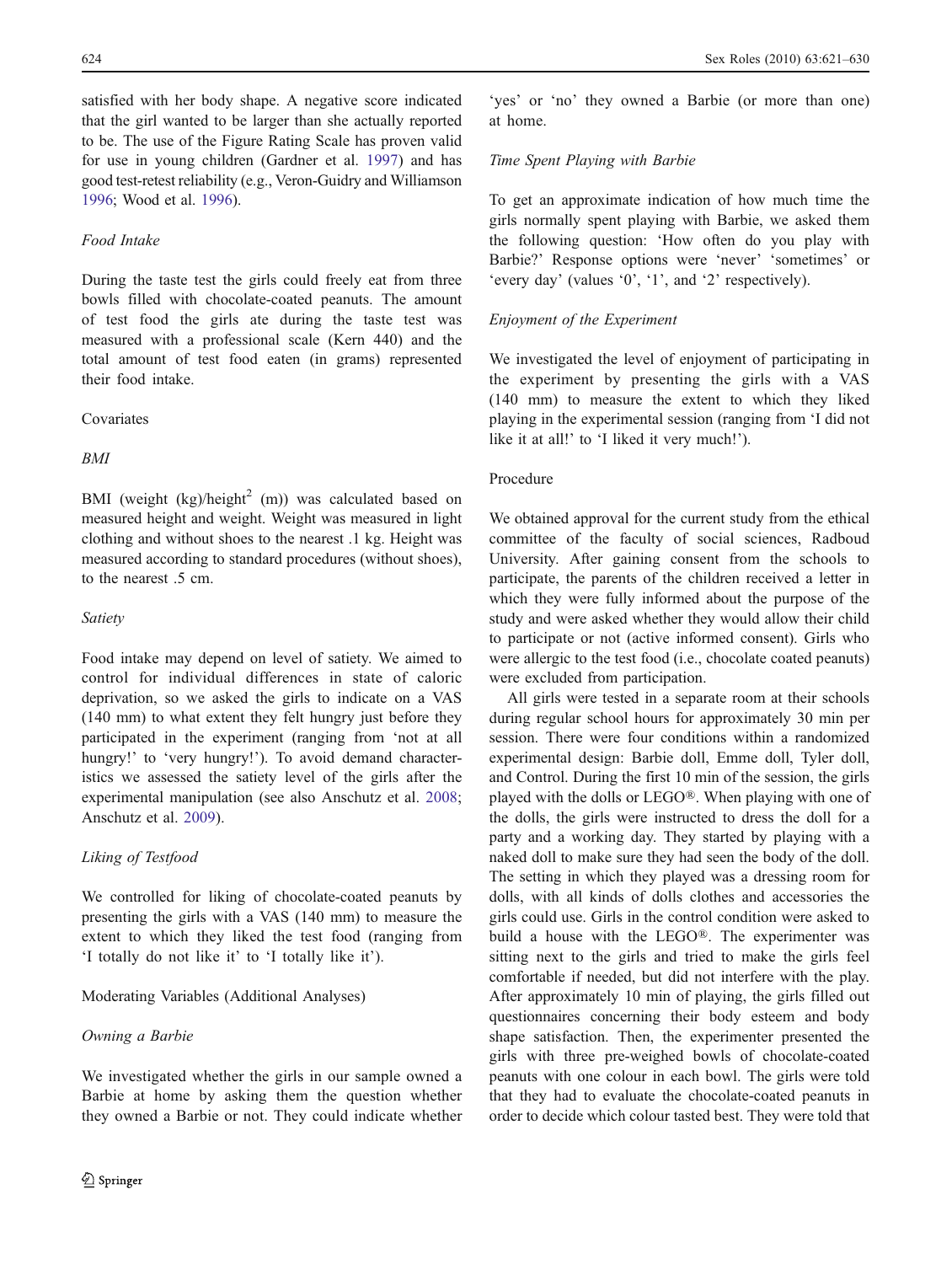satisfied with her body shape. A negative score indicated that the girl wanted to be larger than she actually reported to be. The use of the Figure Rating Scale has proven valid for use in young children (Gardner et al. [1997](#page-8-0)) and has good test-retest reliability (e.g., Veron-Guidry and Williamson [1996;](#page-9-0) Wood et al. [1996](#page-9-0)).

## Food Intake

During the taste test the girls could freely eat from three bowls filled with chocolate-coated peanuts. The amount of test food the girls ate during the taste test was measured with a professional scale (Kern 440) and the total amount of test food eaten (in grams) represented their food intake.

## Covariates

## BMI

BMI (weight  $(kg)/height<sup>2</sup>$  (m)) was calculated based on measured height and weight. Weight was measured in light clothing and without shoes to the nearest .1 kg. Height was measured according to standard procedures (without shoes), to the nearest .5 cm.

#### Satiety

Food intake may depend on level of satiety. We aimed to control for individual differences in state of caloric deprivation, so we asked the girls to indicate on a VAS (140 mm) to what extent they felt hungry just before they participated in the experiment (ranging from 'not at all hungry!' to 'very hungry!'). To avoid demand characteristics we assessed the satiety level of the girls after the experimental manipulation (see also Anschutz et al. [2008](#page-8-0); Anschutz et al. [2009\)](#page-8-0).

## Liking of Testfood

We controlled for liking of chocolate-coated peanuts by presenting the girls with a VAS (140 mm) to measure the extent to which they liked the test food (ranging from 'I totally do not like it' to 'I totally like it').

## Moderating Variables (Additional Analyses)

## Owning a Barbie

We investigated whether the girls in our sample owned a Barbie at home by asking them the question whether they owned a Barbie or not. They could indicate whether

'yes' or 'no' they owned a Barbie (or more than one) at home.

## Time Spent Playing with Barbie

To get an approximate indication of how much time the girls normally spent playing with Barbie, we asked them the following question: 'How often do you play with Barbie?' Response options were 'never' 'sometimes' or 'every day' (values '0', '1', and '2' respectively).

## Enjoyment of the Experiment

We investigated the level of enjoyment of participating in the experiment by presenting the girls with a VAS (140 mm) to measure the extent to which they liked playing in the experimental session (ranging from 'I did not like it at all!' to 'I liked it very much!').

## Procedure

We obtained approval for the current study from the ethical committee of the faculty of social sciences, Radboud University. After gaining consent from the schools to participate, the parents of the children received a letter in which they were fully informed about the purpose of the study and were asked whether they would allow their child to participate or not (active informed consent). Girls who were allergic to the test food (i.e., chocolate coated peanuts) were excluded from participation.

All girls were tested in a separate room at their schools during regular school hours for approximately 30 min per session. There were four conditions within a randomized experimental design: Barbie doll, Emme doll, Tyler doll, and Control. During the first 10 min of the session, the girls played with the dolls or LEGO®. When playing with one of the dolls, the girls were instructed to dress the doll for a party and a working day. They started by playing with a naked doll to make sure they had seen the body of the doll. The setting in which they played was a dressing room for dolls, with all kinds of dolls clothes and accessories the girls could use. Girls in the control condition were asked to build a house with the LEGO®. The experimenter was sitting next to the girls and tried to make the girls feel comfortable if needed, but did not interfere with the play. After approximately 10 min of playing, the girls filled out questionnaires concerning their body esteem and body shape satisfaction. Then, the experimenter presented the girls with three pre-weighed bowls of chocolate-coated peanuts with one colour in each bowl. The girls were told that they had to evaluate the chocolate-coated peanuts in order to decide which colour tasted best. They were told that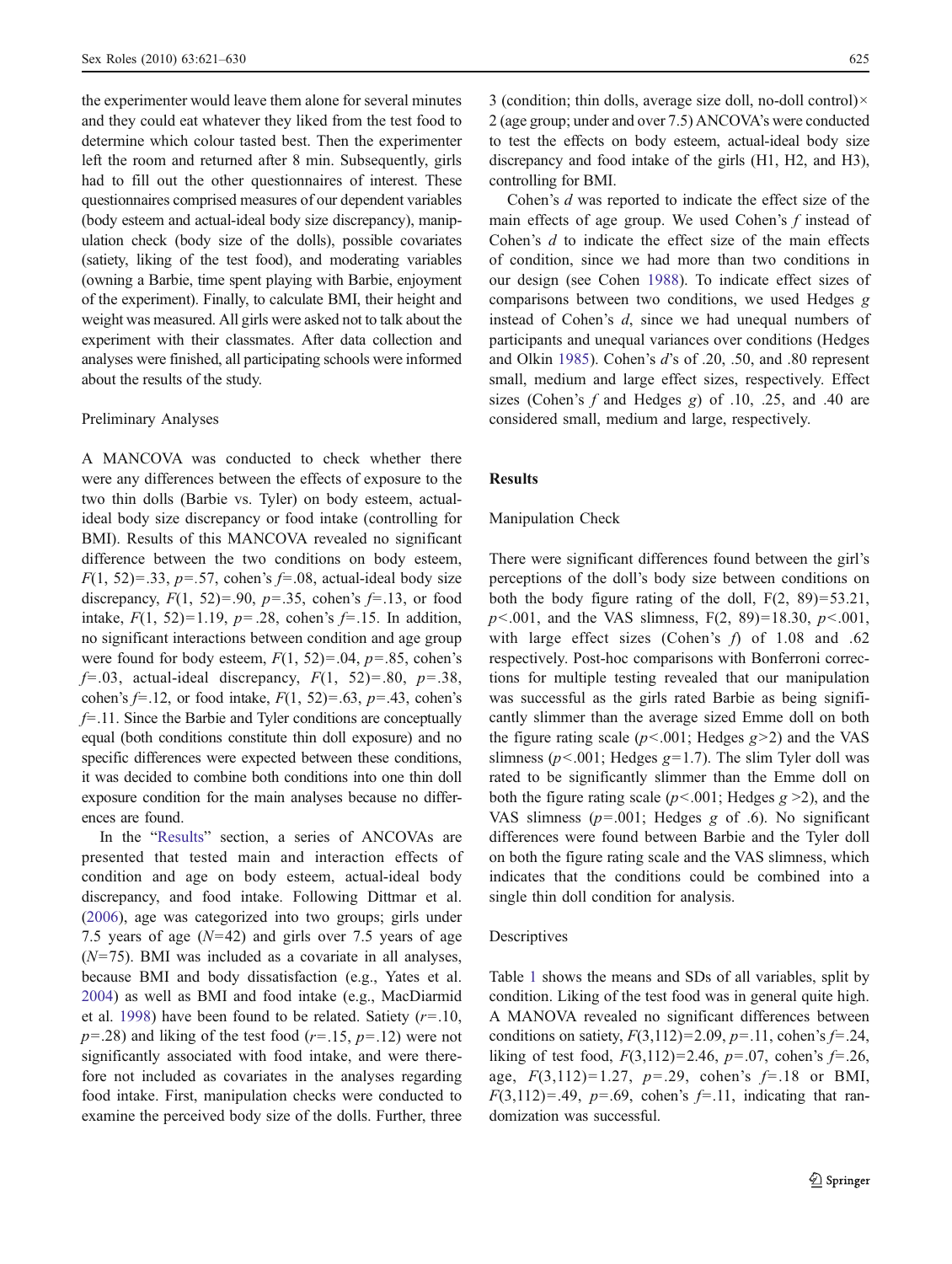the experimenter would leave them alone for several minutes and they could eat whatever they liked from the test food to determine which colour tasted best. Then the experimenter left the room and returned after 8 min. Subsequently, girls had to fill out the other questionnaires of interest. These questionnaires comprised measures of our dependent variables (body esteem and actual-ideal body size discrepancy), manipulation check (body size of the dolls), possible covariates (satiety, liking of the test food), and moderating variables (owning a Barbie, time spent playing with Barbie, enjoyment of the experiment). Finally, to calculate BMI, their height and weight was measured. All girls were asked not to talk about the experiment with their classmates. After data collection and analyses were finished, all participating schools were informed about the results of the study.

#### Preliminary Analyses

A MANCOVA was conducted to check whether there were any differences between the effects of exposure to the two thin dolls (Barbie vs. Tyler) on body esteem, actualideal body size discrepancy or food intake (controlling for BMI). Results of this MANCOVA revealed no significant difference between the two conditions on body esteem,  $F(1, 52)=.33$ ,  $p=.57$ , cohen's  $f=.08$ , actual-ideal body size discrepancy,  $F(1, 52)=0.90$ ,  $p=.35$ , cohen's  $f=.13$ , or food intake,  $F(1, 52)=1.19$ ,  $p=.28$ , cohen's  $f=.15$ . In addition, no significant interactions between condition and age group were found for body esteem,  $F(1, 52)=0.04$ ,  $p=.85$ , cohen's  $f=.03$ , actual-ideal discrepancy,  $F(1, 52)=.80$ ,  $p=.38$ , cohen's  $f=$  12, or food intake,  $F(1, 52)=$  63,  $p=$  43, cohen's  $f=11$ . Since the Barbie and Tyler conditions are conceptually equal (both conditions constitute thin doll exposure) and no specific differences were expected between these conditions, it was decided to combine both conditions into one thin doll exposure condition for the main analyses because no differences are found.

In the "Results" section, a series of ANCOVAs are presented that tested main and interaction effects of condition and age on body esteem, actual-ideal body discrepancy, and food intake. Following Dittmar et al. [\(2006](#page-8-0)), age was categorized into two groups; girls under 7.5 years of age  $(N=42)$  and girls over 7.5 years of age  $(N=75)$ . BMI was included as a covariate in all analyses, because BMI and body dissatisfaction (e.g., Yates et al. [2004\)](#page-9-0) as well as BMI and food intake (e.g., MacDiarmid et al. [1998\)](#page-9-0) have been found to be related. Satiety  $(r=10, 10)$  $p=0.28$ ) and liking of the test food ( $r=0.15$ ,  $p=0.12$ ) were not significantly associated with food intake, and were therefore not included as covariates in the analyses regarding food intake. First, manipulation checks were conducted to examine the perceived body size of the dolls. Further, three 3 (condition; thin dolls, average size doll, no-doll control)× 2 (age group; under and over 7.5) ANCOVA's were conducted to test the effects on body esteem, actual-ideal body size discrepancy and food intake of the girls (H1, H2, and H3), controlling for BMI.

Cohen's d was reported to indicate the effect size of the main effects of age group. We used Cohen's  $f$  instead of Cohen's d to indicate the effect size of the main effects of condition, since we had more than two conditions in our design (see Cohen [1988\)](#page-8-0). To indicate effect sizes of comparisons between two conditions, we used Hedges g instead of Cohen's d, since we had unequal numbers of participants and unequal variances over conditions (Hedges and Olkin [1985](#page-9-0)). Cohen's d's of .20, .50, and .80 represent small, medium and large effect sizes, respectively. Effect sizes (Cohen's  $f$  and Hedges  $g$ ) of .10, .25, and .40 are considered small, medium and large, respectively.

#### Results

#### Manipulation Check

There were significant differences found between the girl's perceptions of the doll's body size between conditions on both the body figure rating of the doll,  $F(2, 89)=53.21$ ,  $p$ <.001, and the VAS slimness, F(2, 89)=18.30,  $p$ <.001, with large effect sizes (Cohen's  $f$ ) of 1.08 and .62 respectively. Post-hoc comparisons with Bonferroni corrections for multiple testing revealed that our manipulation was successful as the girls rated Barbie as being significantly slimmer than the average sized Emme doll on both the figure rating scale ( $p$ <.001; Hedges  $g$ >2) and the VAS slimness ( $p$ <.001; Hedges  $g$ =1.7). The slim Tyler doll was rated to be significantly slimmer than the Emme doll on both the figure rating scale ( $p$ <.001; Hedges  $g > 2$ ), and the VAS slimness  $(p=.001;$  Hedges g of .6). No significant differences were found between Barbie and the Tyler doll on both the figure rating scale and the VAS slimness, which indicates that the conditions could be combined into a single thin doll condition for analysis.

#### Descriptives

Table [1](#page-5-0) shows the means and SDs of all variables, split by condition. Liking of the test food was in general quite high. A MANOVA revealed no significant differences between conditions on satiety,  $F(3,112)=2.09$ ,  $p=.11$ , cohen's  $f=.24$ , liking of test food,  $F(3,112)=2.46$ ,  $p=.07$ , cohen's  $f=.26$ , age,  $F(3,112)=1.27$ ,  $p=.29$ , cohen's  $f=.18$  or BMI,  $F(3,112)=.49$ ,  $p=.69$ , cohen's  $f=.11$ , indicating that randomization was successful.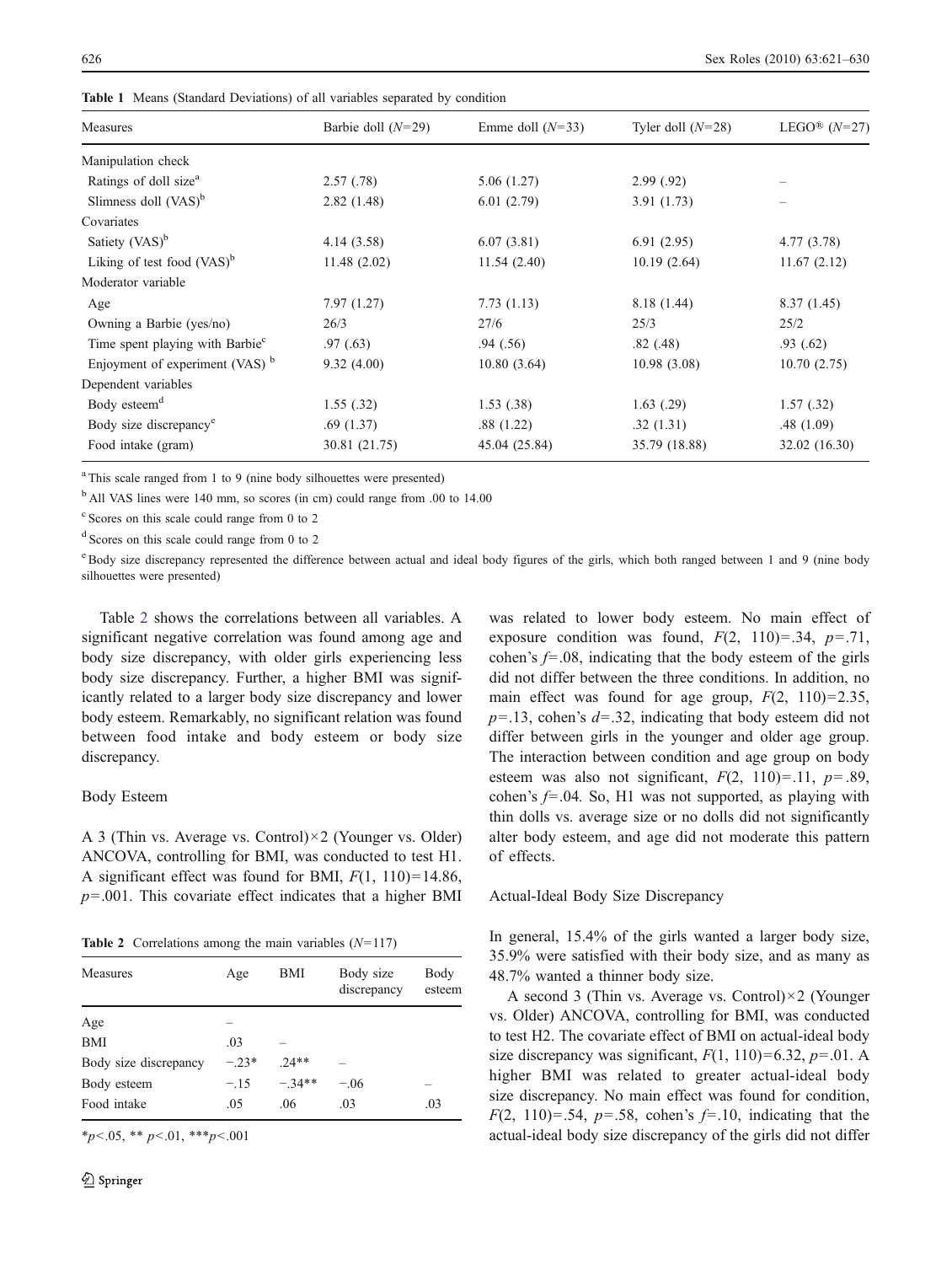| Measures                                    | Barbie doll $(N=29)$ | Emme doll $(N=33)$ | Tyler doll $(N=28)$ | LEGO <sup>®</sup> ( $N=27$ ) |
|---------------------------------------------|----------------------|--------------------|---------------------|------------------------------|
| Manipulation check                          |                      |                    |                     |                              |
| Ratings of doll size <sup>a</sup>           | 2.57(0.78)           | 5.06(1.27)         | 2.99(0.92)          |                              |
| Slimness doll (VAS) <sup>b</sup>            | 2.82(1.48)           | 6.01(2.79)         | 3.91(1.73)          |                              |
| Covariates                                  |                      |                    |                     |                              |
| Satiety (VAS) <sup>b</sup>                  | 4.14(3.58)           | 6.07(3.81)         | 6.91(2.95)          | 4.77(3.78)                   |
| Liking of test food (VAS) <sup>b</sup>      | 11.48(2.02)          | 11.54(2.40)        | 10.19(2.64)         | 11.67(2.12)                  |
| Moderator variable                          |                      |                    |                     |                              |
| Age                                         | 7.97(1.27)           | 7.73(1.13)         | 8.18 (1.44)         | 8.37(1.45)                   |
| Owning a Barbie (yes/no)                    | 26/3                 | 27/6               | 25/3                | 25/2                         |
| Time spent playing with Barbie <sup>c</sup> | .97(0.63)            | .94(.56)           | .82(.48)            | .93(62)                      |
| Enjoyment of experiment (VAS) <sup>b</sup>  | 9.32(4.00)           | 10.80(3.64)        | 10.98(3.08)         | 10.70(2.75)                  |
| Dependent variables                         |                      |                    |                     |                              |
| Body esteem <sup>d</sup>                    | 1.55(0.32)           | 1.53(0.38)         | 1.63(0.29)          | 1.57(0.32)                   |
| Body size discrepancy <sup>e</sup>          | .69(1.37)            | .88(1.22)          | .32(1.31)           | .48(1.09)                    |
| Food intake (gram)                          | 30.81 (21.75)        | 45.04 (25.84)      | 35.79 (18.88)       | 32.02 (16.30)                |

<span id="page-5-0"></span>Table 1 Means (Standard Deviations) of all variables separated by condition

<sup>a</sup> This scale ranged from 1 to 9 (nine body silhouettes were presented)

<sup>b</sup> All VAS lines were 140 mm, so scores (in cm) could range from .00 to 14.00

<sup>c</sup> Scores on this scale could range from 0 to 2

<sup>d</sup> Scores on this scale could range from 0 to 2

<sup>e</sup> Body size discrepancy represented the difference between actual and ideal body figures of the girls, which both ranged between 1 and 9 (nine body silhouettes were presented)

Table 2 shows the correlations between all variables. A significant negative correlation was found among age and body size discrepancy, with older girls experiencing less body size discrepancy. Further, a higher BMI was significantly related to a larger body size discrepancy and lower body esteem. Remarkably, no significant relation was found between food intake and body esteem or body size discrepancy.

#### Body Esteem

A 3 (Thin vs. Average vs. Control)×2 (Younger vs. Older) ANCOVA, controlling for BMI, was conducted to test H1. A significant effect was found for BMI,  $F(1, 110)=14.86$ ,  $p=.001$ . This covariate effect indicates that a higher BMI

**Table 2** Correlations among the main variables  $(N=117)$ 

| <b>Measures</b>       | Age    | BMI     | Body size<br>discrepancy | Body<br>esteem |
|-----------------------|--------|---------|--------------------------|----------------|
| Age                   |        |         |                          |                |
| BMI                   | .03    |         |                          |                |
| Body size discrepancy | $-23*$ | $24**$  |                          |                |
| Body esteem           | $-.15$ | $-34**$ | $-.06$                   |                |
| Food intake           | .05    | .06     | .03                      | .03            |

 $*_{p<.05}$ ,  $*_{p<.01}$ ,  $*_{p<.001}$ 

was related to lower body esteem. No main effect of exposure condition was found,  $F(2, 110)=.34$ ,  $p=.71$ , cohen's  $f = .08$ , indicating that the body esteem of the girls did not differ between the three conditions. In addition, no main effect was found for age group,  $F(2, 110)=2.35$ ,  $p=13$ , cohen's  $d=32$ , indicating that body esteem did not differ between girls in the younger and older age group. The interaction between condition and age group on body esteem was also not significant,  $F(2, 110)=.11$ ,  $p=.89$ , cohen's  $f = .04$ . So, H1 was not supported, as playing with thin dolls vs. average size or no dolls did not significantly alter body esteem, and age did not moderate this pattern of effects.

## Actual-Ideal Body Size Discrepancy

In general, 15.4% of the girls wanted a larger body size, 35.9% were satisfied with their body size, and as many as 48.7% wanted a thinner body size.

A second 3 (Thin vs. Average vs. Control) $\times$ 2 (Younger vs. Older) ANCOVA, controlling for BMI, was conducted to test H2. The covariate effect of BMI on actual-ideal body size discrepancy was significant,  $F(1, 110)=6.32$ ,  $p=.01$ . A higher BMI was related to greater actual-ideal body size discrepancy. No main effect was found for condition,  $F(2, 110)=.54$ ,  $p=.58$ , cohen's  $f=.10$ , indicating that the actual-ideal body size discrepancy of the girls did not differ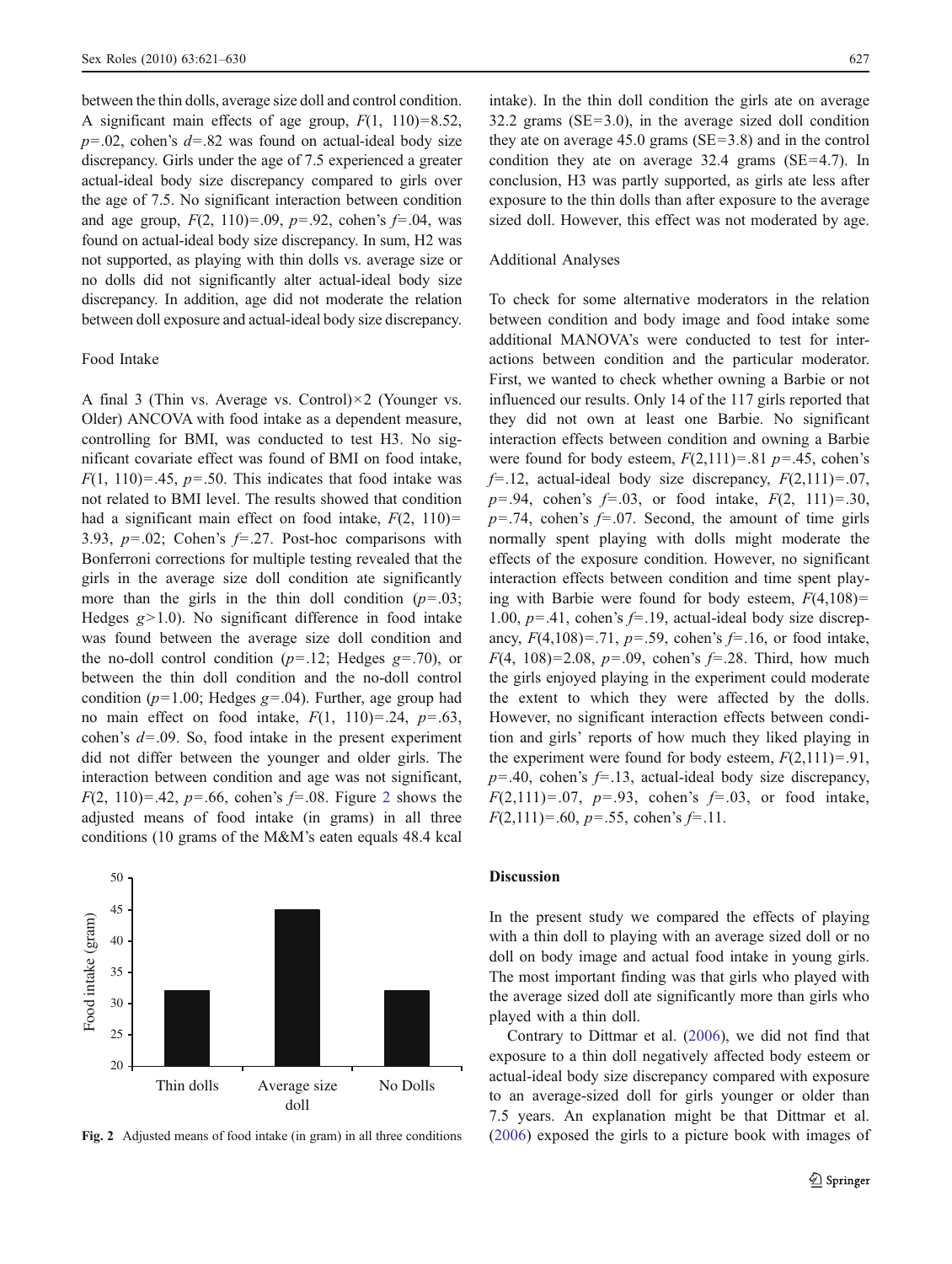between the thin dolls, average size doll and control condition. A significant main effects of age group,  $F(1, 110)=8.52$ ,  $p=0.02$ , cohen's  $d=0.82$  was found on actual-ideal body size discrepancy. Girls under the age of 7.5 experienced a greater actual-ideal body size discrepancy compared to girls over the age of 7.5. No significant interaction between condition and age group,  $F(2, 110)=.09$ ,  $p=.92$ , cohen's  $f=.04$ , was found on actual-ideal body size discrepancy. In sum, H2 was not supported, as playing with thin dolls vs. average size or no dolls did not significantly alter actual-ideal body size discrepancy. In addition, age did not moderate the relation between doll exposure and actual-ideal body size discrepancy.

## Food Intake

A final 3 (Thin vs. Average vs. Control)×2 (Younger vs. Older) ANCOVA with food intake as a dependent measure, controlling for BMI, was conducted to test H3. No significant covariate effect was found of BMI on food intake,  $F(1, 110)=.45$ ,  $p=.50$ . This indicates that food intake was not related to BMI level. The results showed that condition had a significant main effect on food intake,  $F(2, 110)$ = 3.93,  $p=.02$ ; Cohen's  $f=.27$ . Post-hoc comparisons with Bonferroni corrections for multiple testing revealed that the girls in the average size doll condition ate significantly more than the girls in the thin doll condition  $(p=.03;$ Hedges  $g > 1.0$ ). No significant difference in food intake was found between the average size doll condition and the no-doll control condition ( $p=12$ ; Hedges  $g=.70$ ), or between the thin doll condition and the no-doll control condition ( $p=1.00$ ; Hedges  $g=.04$ ). Further, age group had no main effect on food intake,  $F(1, 110)=.24$ ,  $p=.63$ , cohen's  $d=0.09$ . So, food intake in the present experiment did not differ between the younger and older girls. The interaction between condition and age was not significant, F(2, 110)=.42,  $p = .66$ , cohen's  $f = .08$ . Figure 2 shows the adjusted means of food intake (in grams) in all three conditions (10 grams of the M&M's eaten equals 48.4 kcal



Fig. 2 Adjusted means of food intake (in gram) in all three conditions

intake). In the thin doll condition the girls ate on average 32.2 grams (SE=3.0), in the average sized doll condition they ate on average  $45.0$  grams (SE=3.8) and in the control condition they ate on average 32.4 grams (SE=4.7). In conclusion, H3 was partly supported, as girls ate less after exposure to the thin dolls than after exposure to the average sized doll. However, this effect was not moderated by age.

## Additional Analyses

To check for some alternative moderators in the relation between condition and body image and food intake some additional MANOVA's were conducted to test for interactions between condition and the particular moderator. First, we wanted to check whether owning a Barbie or not influenced our results. Only 14 of the 117 girls reported that they did not own at least one Barbie. No significant interaction effects between condition and owning a Barbie were found for body esteem,  $F(2,111)=.81$  p=.45, cohen's  $f=12$ , actual-ideal body size discrepancy,  $F(2,111)=0.07$ ,  $p=.94$ , cohen's  $f=.03$ , or food intake,  $F(2, 111)=.30$ ,  $p=.74$ , cohen's  $f=.07$ . Second, the amount of time girls normally spent playing with dolls might moderate the effects of the exposure condition. However, no significant interaction effects between condition and time spent playing with Barbie were found for body esteem,  $F(4,108)$ = 1.00,  $p = 0.41$ , cohen's  $f = 0.19$ , actual-ideal body size discrepancy,  $F(4,108)=.71$ ,  $p=.59$ , cohen's  $f=.16$ , or food intake,  $F(4, 108)=2.08$ ,  $p=.09$ , cohen's  $f=.28$ . Third, how much the girls enjoyed playing in the experiment could moderate the extent to which they were affected by the dolls. However, no significant interaction effects between condition and girls' reports of how much they liked playing in the experiment were found for body esteem,  $F(2,111)=.91$ ,  $p=.40$ , cohen's  $f=.13$ , actual-ideal body size discrepancy,  $F(2,111)=.07$ ,  $p=.93$ , cohen's  $f=.03$ , or food intake,  $F(2,111)=.60, p=.55$ , cohen's  $f=.11$ .

#### Discussion

In the present study we compared the effects of playing with a thin doll to playing with an average sized doll or no doll on body image and actual food intake in young girls. The most important finding was that girls who played with the average sized doll ate significantly more than girls who played with a thin doll.

Contrary to Dittmar et al. ([2006\)](#page-8-0), we did not find that exposure to a thin doll negatively affected body esteem or actual-ideal body size discrepancy compared with exposure to an average-sized doll for girls younger or older than 7.5 years. An explanation might be that Dittmar et al. [\(2006](#page-8-0)) exposed the girls to a picture book with images of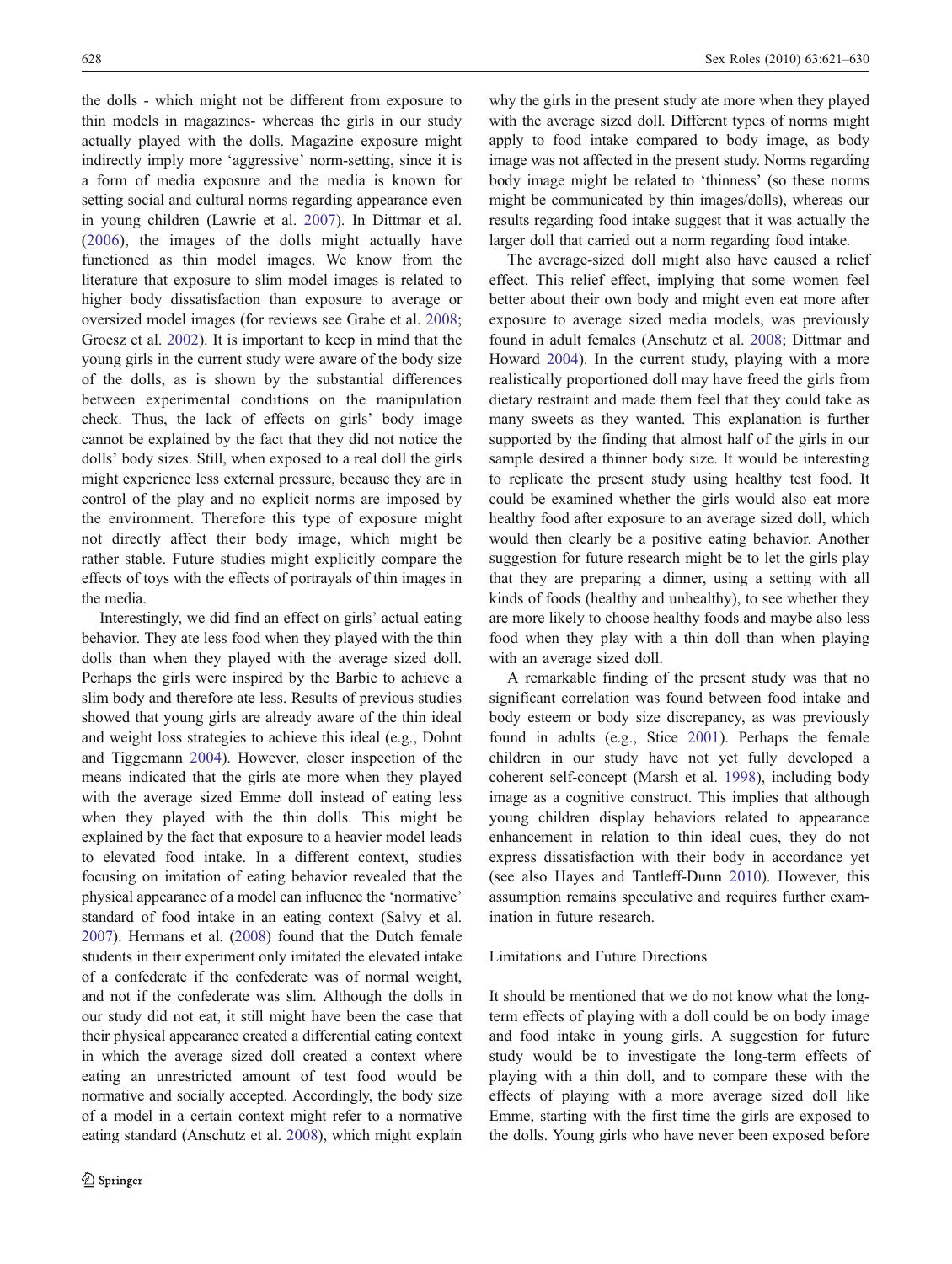the dolls - which might not be different from exposure to thin models in magazines- whereas the girls in our study actually played with the dolls. Magazine exposure might indirectly imply more 'aggressive' norm-setting, since it is a form of media exposure and the media is known for setting social and cultural norms regarding appearance even in young children (Lawrie et al. [2007](#page-9-0)). In Dittmar et al. [\(2006\)](#page-8-0), the images of the dolls might actually have functioned as thin model images. We know from the literature that exposure to slim model images is related to higher body dissatisfaction than exposure to average or oversized model images (for reviews see Grabe et al. [2008](#page-8-0); Groesz et al. [2002](#page-8-0)). It is important to keep in mind that the young girls in the current study were aware of the body size of the dolls, as is shown by the substantial differences between experimental conditions on the manipulation check. Thus, the lack of effects on girls' body image cannot be explained by the fact that they did not notice the dolls' body sizes. Still, when exposed to a real doll the girls might experience less external pressure, because they are in control of the play and no explicit norms are imposed by the environment. Therefore this type of exposure might not directly affect their body image, which might be rather stable. Future studies might explicitly compare the effects of toys with the effects of portrayals of thin images in the media.

Interestingly, we did find an effect on girls' actual eating behavior. They ate less food when they played with the thin dolls than when they played with the average sized doll. Perhaps the girls were inspired by the Barbie to achieve a slim body and therefore ate less. Results of previous studies showed that young girls are already aware of the thin ideal and weight loss strategies to achieve this ideal (e.g., Dohnt and Tiggemann [2004\)](#page-8-0). However, closer inspection of the means indicated that the girls ate more when they played with the average sized Emme doll instead of eating less when they played with the thin dolls. This might be explained by the fact that exposure to a heavier model leads to elevated food intake. In a different context, studies focusing on imitation of eating behavior revealed that the physical appearance of a model can influence the 'normative' standard of food intake in an eating context (Salvy et al. [2007\)](#page-9-0). Hermans et al. ([2008\)](#page-9-0) found that the Dutch female students in their experiment only imitated the elevated intake of a confederate if the confederate was of normal weight, and not if the confederate was slim. Although the dolls in our study did not eat, it still might have been the case that their physical appearance created a differential eating context in which the average sized doll created a context where eating an unrestricted amount of test food would be normative and socially accepted. Accordingly, the body size of a model in a certain context might refer to a normative eating standard (Anschutz et al. [2008\)](#page-8-0), which might explain

why the girls in the present study ate more when they played with the average sized doll. Different types of norms might apply to food intake compared to body image, as body image was not affected in the present study. Norms regarding body image might be related to 'thinness' (so these norms might be communicated by thin images/dolls), whereas our results regarding food intake suggest that it was actually the larger doll that carried out a norm regarding food intake.

The average-sized doll might also have caused a relief effect. This relief effect, implying that some women feel better about their own body and might even eat more after exposure to average sized media models, was previously found in adult females (Anschutz et al. [2008](#page-8-0); Dittmar and Howard [2004](#page-8-0)). In the current study, playing with a more realistically proportioned doll may have freed the girls from dietary restraint and made them feel that they could take as many sweets as they wanted. This explanation is further supported by the finding that almost half of the girls in our sample desired a thinner body size. It would be interesting to replicate the present study using healthy test food. It could be examined whether the girls would also eat more healthy food after exposure to an average sized doll, which would then clearly be a positive eating behavior. Another suggestion for future research might be to let the girls play that they are preparing a dinner, using a setting with all kinds of foods (healthy and unhealthy), to see whether they are more likely to choose healthy foods and maybe also less food when they play with a thin doll than when playing with an average sized doll.

A remarkable finding of the present study was that no significant correlation was found between food intake and body esteem or body size discrepancy, as was previously found in adults (e.g., Stice [2001](#page-9-0)). Perhaps the female children in our study have not yet fully developed a coherent self-concept (Marsh et al. [1998](#page-9-0)), including body image as a cognitive construct. This implies that although young children display behaviors related to appearance enhancement in relation to thin ideal cues, they do not express dissatisfaction with their body in accordance yet (see also Hayes and Tantleff-Dunn [2010\)](#page-9-0). However, this assumption remains speculative and requires further examination in future research.

## Limitations and Future Directions

It should be mentioned that we do not know what the longterm effects of playing with a doll could be on body image and food intake in young girls. A suggestion for future study would be to investigate the long-term effects of playing with a thin doll, and to compare these with the effects of playing with a more average sized doll like Emme, starting with the first time the girls are exposed to the dolls. Young girls who have never been exposed before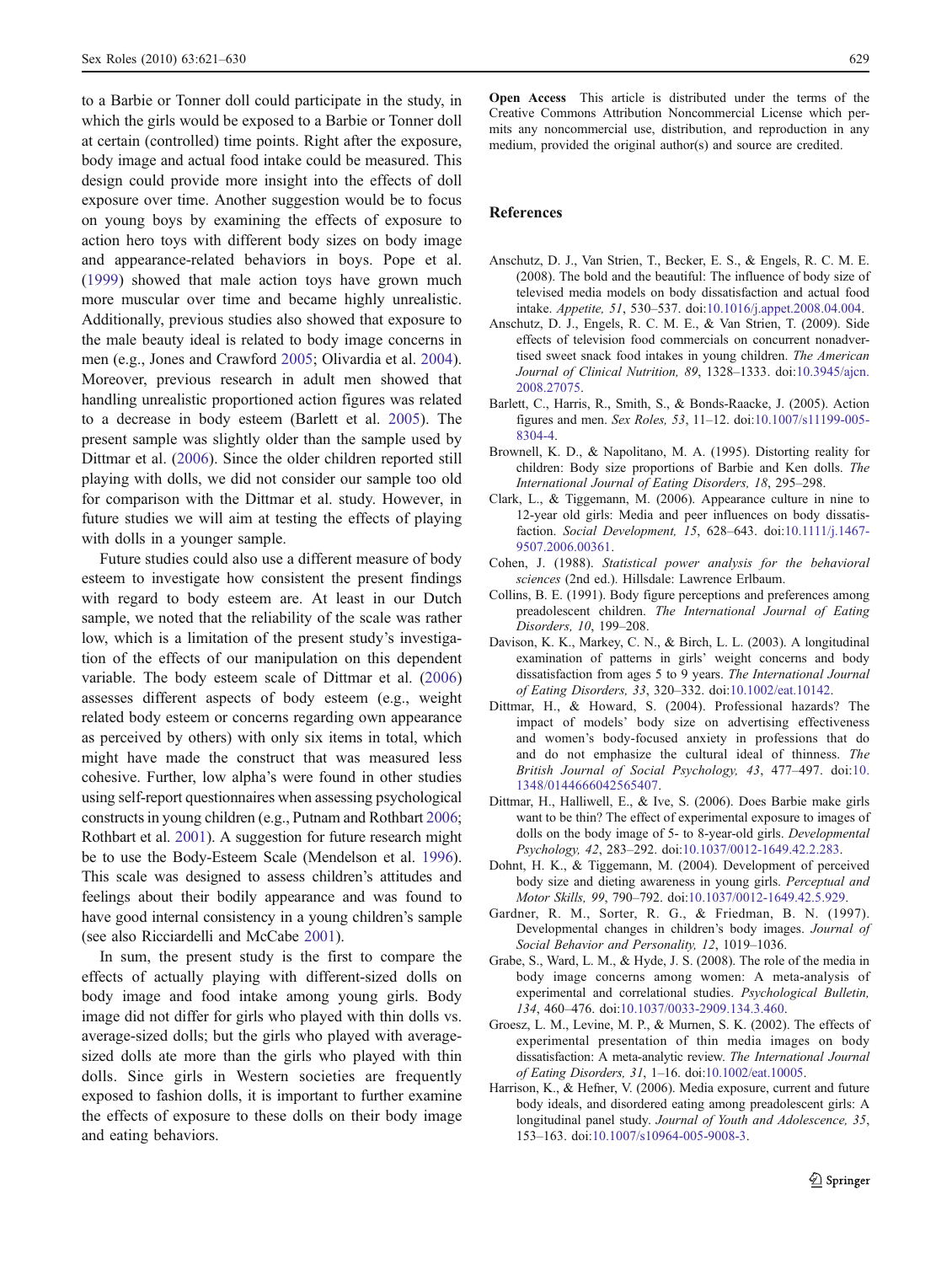<span id="page-8-0"></span>to a Barbie or Tonner doll could participate in the study, in which the girls would be exposed to a Barbie or Tonner doll at certain (controlled) time points. Right after the exposure, body image and actual food intake could be measured. This design could provide more insight into the effects of doll exposure over time. Another suggestion would be to focus on young boys by examining the effects of exposure to action hero toys with different body sizes on body image and appearance-related behaviors in boys. Pope et al. [\(1999](#page-9-0)) showed that male action toys have grown much more muscular over time and became highly unrealistic. Additionally, previous studies also showed that exposure to the male beauty ideal is related to body image concerns in men (e.g., Jones and Crawford [2005;](#page-9-0) Olivardia et al. [2004](#page-9-0)). Moreover, previous research in adult men showed that handling unrealistic proportioned action figures was related to a decrease in body esteem (Barlett et al. 2005). The present sample was slightly older than the sample used by Dittmar et al. (2006). Since the older children reported still playing with dolls, we did not consider our sample too old for comparison with the Dittmar et al. study. However, in future studies we will aim at testing the effects of playing with dolls in a younger sample.

Future studies could also use a different measure of body esteem to investigate how consistent the present findings with regard to body esteem are. At least in our Dutch sample, we noted that the reliability of the scale was rather low, which is a limitation of the present study's investigation of the effects of our manipulation on this dependent variable. The body esteem scale of Dittmar et al. (2006) assesses different aspects of body esteem (e.g., weight related body esteem or concerns regarding own appearance as perceived by others) with only six items in total, which might have made the construct that was measured less cohesive. Further, low alpha's were found in other studies using self-report questionnaires when assessing psychological constructs in young children (e.g., Putnam and Rothbart [2006](#page-9-0); Rothbart et al. [2001](#page-9-0)). A suggestion for future research might be to use the Body-Esteem Scale (Mendelson et al. [1996\)](#page-9-0). This scale was designed to assess children's attitudes and feelings about their bodily appearance and was found to have good internal consistency in a young children's sample (see also Ricciardelli and McCabe [2001\)](#page-9-0).

In sum, the present study is the first to compare the effects of actually playing with different-sized dolls on body image and food intake among young girls. Body image did not differ for girls who played with thin dolls vs. average-sized dolls; but the girls who played with averagesized dolls ate more than the girls who played with thin dolls. Since girls in Western societies are frequently exposed to fashion dolls, it is important to further examine the effects of exposure to these dolls on their body image and eating behaviors.

Open Access This article is distributed under the terms of the Creative Commons Attribution Noncommercial License which permits any noncommercial use, distribution, and reproduction in any medium, provided the original author(s) and source are credited.

### References

- Anschutz, D. J., Van Strien, T., Becker, E. S., & Engels, R. C. M. E. (2008). The bold and the beautiful: The influence of body size of televised media models on body dissatisfaction and actual food intake. Appetite, 51, 530–537. doi[:10.1016/j.appet.2008.04.004](http://dx.doi.org/10.1016/j.appet.2008.04.004).
- Anschutz, D. J., Engels, R. C. M. E., & Van Strien, T. (2009). Side effects of television food commercials on concurrent nonadvertised sweet snack food intakes in young children. The American Journal of Clinical Nutrition, 89, 1328–1333. doi[:10.3945/ajcn.](http://dx.doi.org/10.3945/ajcn.2008.27075) [2008.27075](http://dx.doi.org/10.3945/ajcn.2008.27075).
- Barlett, C., Harris, R., Smith, S., & Bonds-Raacke, J. (2005). Action figures and men. Sex Roles, 53, 11–12. doi[:10.1007/s11199-005-](http://dx.doi.org/10.1007/s11199-005-8304-4) [8304-4.](http://dx.doi.org/10.1007/s11199-005-8304-4)
- Brownell, K. D., & Napolitano, M. A. (1995). Distorting reality for children: Body size proportions of Barbie and Ken dolls. The International Journal of Eating Disorders, 18, 295–298.
- Clark, L., & Tiggemann, M. (2006). Appearance culture in nine to 12-year old girls: Media and peer influences on body dissatisfaction. Social Development, 15, 628–643. doi[:10.1111/j.1467-](http://dx.doi.org/10.1111/j.1467-9507.2006.00361) [9507.2006.00361](http://dx.doi.org/10.1111/j.1467-9507.2006.00361).
- Cohen, J. (1988). Statistical power analysis for the behavioral sciences (2nd ed.). Hillsdale: Lawrence Erlbaum.
- Collins, B. E. (1991). Body figure perceptions and preferences among preadolescent children. The International Journal of Eating Disorders, 10, 199–208.
- Davison, K. K., Markey, C. N., & Birch, L. L. (2003). A longitudinal examination of patterns in girls' weight concerns and body dissatisfaction from ages 5 to 9 years. The International Journal of Eating Disorders, 33, 320–332. doi:[10.1002/eat.10142.](http://dx.doi.org/10.1002/eat.10142)
- Dittmar, H., & Howard, S. (2004). Professional hazards? The impact of models' body size on advertising effectiveness and women's body-focused anxiety in professions that do and do not emphasize the cultural ideal of thinness. The British Journal of Social Psychology, 43, 477–497. doi[:10.](http://dx.doi.org/10.1348/0144666042565407) [1348/0144666042565407.](http://dx.doi.org/10.1348/0144666042565407)
- Dittmar, H., Halliwell, E., & Ive, S. (2006). Does Barbie make girls want to be thin? The effect of experimental exposure to images of dolls on the body image of 5- to 8-year-old girls. Developmental Psychology, 42, 283–292. doi[:10.1037/0012-1649.42.2.283](http://dx.doi.org/10.1037/0012-1649.42.2.283).
- Dohnt, H. K., & Tiggemann, M. (2004). Development of perceived body size and dieting awareness in young girls. Perceptual and Motor Skills, 99, 790–792. doi:[10.1037/0012-1649.42.5.929](http://dx.doi.org/10.1037/0012-1649.42.5.929).
- Gardner, R. M., Sorter, R. G., & Friedman, B. N. (1997). Developmental changes in children's body images. Journal of Social Behavior and Personality, 12, 1019–1036.
- Grabe, S., Ward, L. M., & Hyde, J. S. (2008). The role of the media in body image concerns among women: A meta-analysis of experimental and correlational studies. Psychological Bulletin, 134, 460–476. doi[:10.1037/0033-2909.134.3.460.](http://dx.doi.org/10.1037/0033-2909.134.3.460)
- Groesz, L. M., Levine, M. P., & Murnen, S. K. (2002). The effects of experimental presentation of thin media images on body dissatisfaction: A meta-analytic review. The International Journal of Eating Disorders, 31, 1–16. doi[:10.1002/eat.10005.](http://dx.doi.org/10.1002/eat.10005)
- Harrison, K., & Hefner, V. (2006). Media exposure, current and future body ideals, and disordered eating among preadolescent girls: A longitudinal panel study. Journal of Youth and Adolescence, 35, 153–163. doi:[10.1007/s10964-005-9008-3](http://dx.doi.org/10.1007/s10964-005-9008-3).